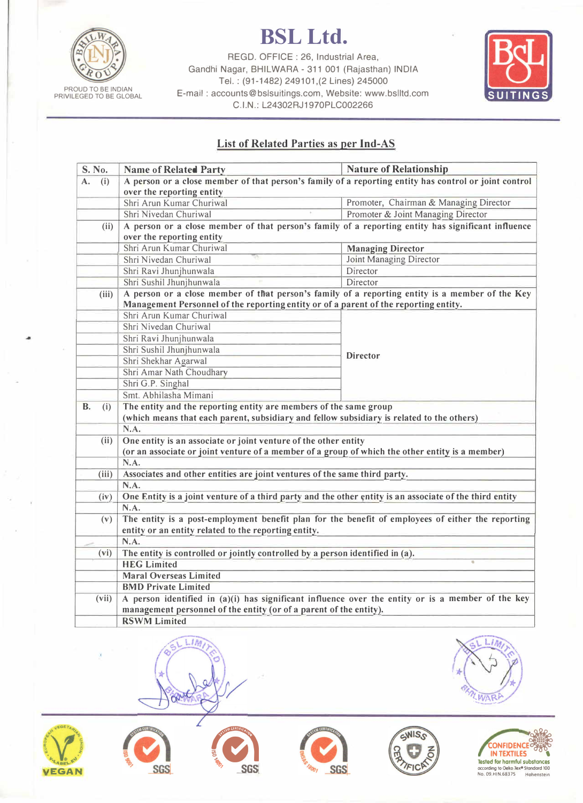

PROUD TO BE INDIAN<br>PRIVILEGED TO BE GLOBAL

**BSLLtd.** 

REGO. OFFICE : 26, Industrial Area, Gandhi Nagar, BHILWARA - 311 001 (Rajasthan) INDIA Tel.: (91-1482) 249101,(2 Lines) 245000 E-mail : accounts@bslsuitings.com, Website: www.bslltd.com C.I.N.: L24302RJ1970PLC002266



## **List of Related Parties as per Ind-AS**

| S. No.           | <b>Name of Related Party</b>                                                                            | <b>Nature of Relationship</b>          |  |
|------------------|---------------------------------------------------------------------------------------------------------|----------------------------------------|--|
| (i)<br>А.        | A person or a close member of that person's family of a reporting entity has control or joint control   |                                        |  |
|                  | over the reporting entity                                                                               |                                        |  |
|                  | Shri Arun Kumar Churiwal                                                                                | Promoter, Chairman & Managing Director |  |
|                  | Shri Nivedan Churiwal                                                                                   | Promoter & Joint Managing Director     |  |
| (ii)             | A person or a close member of that person's family of a reporting entity has significant influence      |                                        |  |
|                  | over the reporting entity                                                                               |                                        |  |
|                  | Shri Arun Kumar Churiwal                                                                                | <b>Managing Director</b>               |  |
|                  | Shri Nivedan Churiwal                                                                                   | <b>Joint Managing Director</b>         |  |
|                  | Shri Ravi Jhunjhunwala                                                                                  | Director                               |  |
|                  | Shri Sushil Jhunjhunwala                                                                                | Director                               |  |
| (iii)            | A person or a close member of that person's family of a reporting entity is a member of the Key         |                                        |  |
|                  | Management Personnel of the reporting entity or of a parent of the reporting entity.                    |                                        |  |
|                  | Shri Arun Kumar Churiwal                                                                                | <b>Director</b>                        |  |
|                  | Shri Nivedan Churiwal                                                                                   |                                        |  |
|                  | Shri Ravi Jhunjhunwala                                                                                  |                                        |  |
|                  | Shri Sushil Jhunjhunwala                                                                                |                                        |  |
|                  | Shri Shekhar Agarwal                                                                                    |                                        |  |
|                  | Shri Amar Nath Choudhary                                                                                |                                        |  |
|                  | Shri G.P. Singhal                                                                                       |                                        |  |
|                  | Smt. Abhilasha Mimani                                                                                   |                                        |  |
| <b>B.</b><br>(i) | The entity and the reporting entity are members of the same group                                       |                                        |  |
|                  | (which means that each parent, subsidiary and fellow subsidiary is related to the others)               |                                        |  |
|                  | N.A.                                                                                                    |                                        |  |
| (ii)             | One entity is an associate or joint venture of the other entity                                         |                                        |  |
|                  | (or an associate or joint venture of a member of a group of which the other entity is a member)         |                                        |  |
|                  | N.A.                                                                                                    |                                        |  |
| (iii)            | Associates and other entities are joint ventures of the same third party.                               |                                        |  |
|                  | N.A.                                                                                                    |                                        |  |
| (iv)             | One Entity is a joint venture of a third party and the other entity is an associate of the third entity |                                        |  |
|                  | N.A.                                                                                                    |                                        |  |
| (v)              | The entity is a post-employment benefit plan for the benefit of employees of either the reporting       |                                        |  |
|                  | entity or an entity related to the reporting entity.                                                    |                                        |  |
|                  | N.A.                                                                                                    |                                        |  |
| (vi)             | The entity is controlled or jointly controlled by a person identified in (a).                           |                                        |  |
|                  | <b>HEG Limited</b>                                                                                      |                                        |  |
|                  | <b>Maral Overseas Limited</b>                                                                           |                                        |  |
|                  | <b>BMD Private Limited</b>                                                                              |                                        |  |
| (vii)            | A person identified in (a)(i) has significant influence over the entity or is a member of the key       |                                        |  |
|                  | management personnel of the entity (or of a parent of the entity).                                      |                                        |  |
|                  | <b>RSWM Limited</b>                                                                                     |                                        |  |













'



**120** 

*\** 

**WAR**